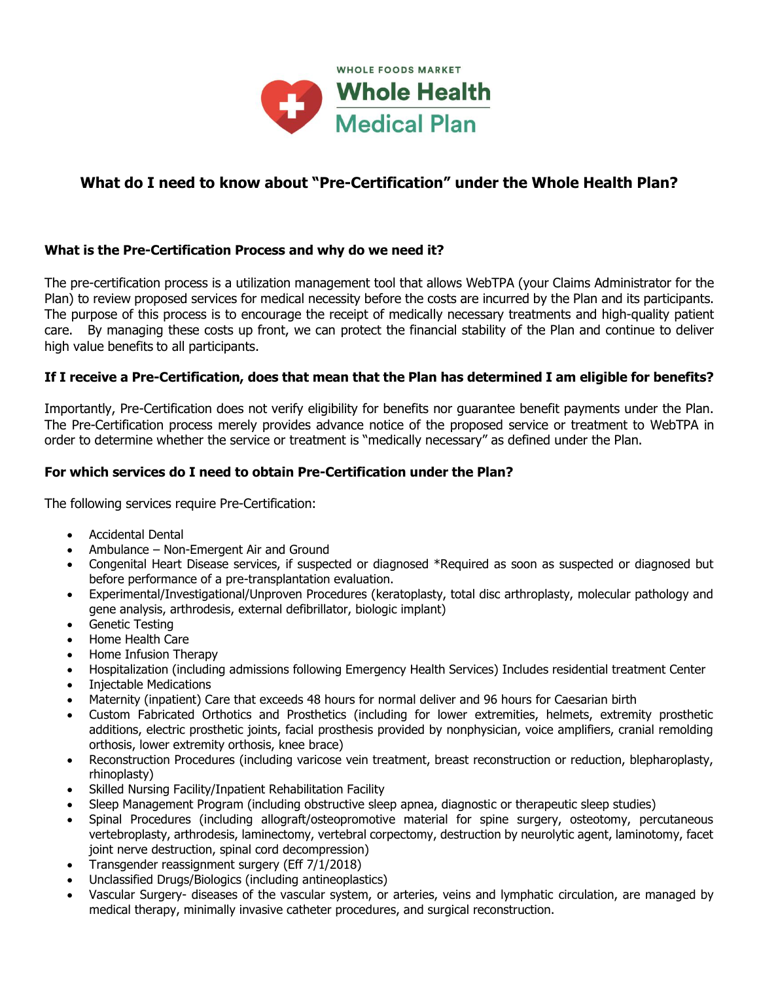

# **What do I need to know about "Pre-Certification" under the Whole Health Plan?**

## **What is the Pre-Certification Process and why do we need it?**

The pre-certification process is a utilization management tool that allows WebTPA (your Claims Administrator for the Plan) to review proposed services for medical necessity before the costs are incurred by the Plan and its participants. The purpose of this process is to encourage the receipt of medically necessary treatments and high-quality patient care. By managing these costs up front, we can protect the financial stability of the Plan and continue to deliver high value benefits to all participants.

## **If I receive a Pre-Certification, does that mean that the Plan has determined I am eligible for benefits?**

Importantly, Pre-Certification does not verify eligibility for benefits nor guarantee benefit payments under the Plan. The Pre-Certification process merely provides advance notice of the proposed service or treatment to WebTPA in order to determine whether the service or treatment is "medically necessary" as defined under the Plan.

## **For which services do I need to obtain Pre-Certification under the Plan?**

The following services require Pre-Certification:

- Accidental Dental
- Ambulance Non-Emergent Air and Ground
- Congenital Heart Disease services, if suspected or diagnosed \*Required as soon as suspected or diagnosed but before performance of a pre-transplantation evaluation.
- Experimental/Investigational/Unproven Procedures (keratoplasty, total disc arthroplasty, molecular pathology and gene analysis, arthrodesis, external defibrillator, biologic implant)
- Genetic Testing
- Home Health Care
- Home Infusion Therapy
- Hospitalization (including admissions following Emergency Health Services) Includes residential treatment Center
- Injectable Medications
- Maternity (inpatient) Care that exceeds 48 hours for normal deliver and 96 hours for Caesarian birth
- Custom Fabricated Orthotics and Prosthetics (including for lower extremities, helmets, extremity prosthetic additions, electric prosthetic joints, facial prosthesis provided by nonphysician, voice amplifiers, cranial remolding orthosis, lower extremity orthosis, knee brace)
- Reconstruction Procedures (including varicose vein treatment, breast reconstruction or reduction, blepharoplasty, rhinoplasty)
- Skilled Nursing Facility/Inpatient Rehabilitation Facility
- Sleep Management Program (including obstructive sleep apnea, diagnostic or therapeutic sleep studies)
- Spinal Procedures (including allograft/osteopromotive material for spine surgery, osteotomy, percutaneous vertebroplasty, arthrodesis, laminectomy, vertebral corpectomy, destruction by neurolytic agent, laminotomy, facet joint nerve destruction, spinal cord decompression)
- Transgender reassignment surgery (Eff 7/1/2018)
- Unclassified Drugs/Biologics (including antineoplastics)
- Vascular Surgery- diseases of the vascular system, or arteries, veins and lymphatic circulation, are managed by medical therapy, minimally invasive catheter procedures, and surgical reconstruction.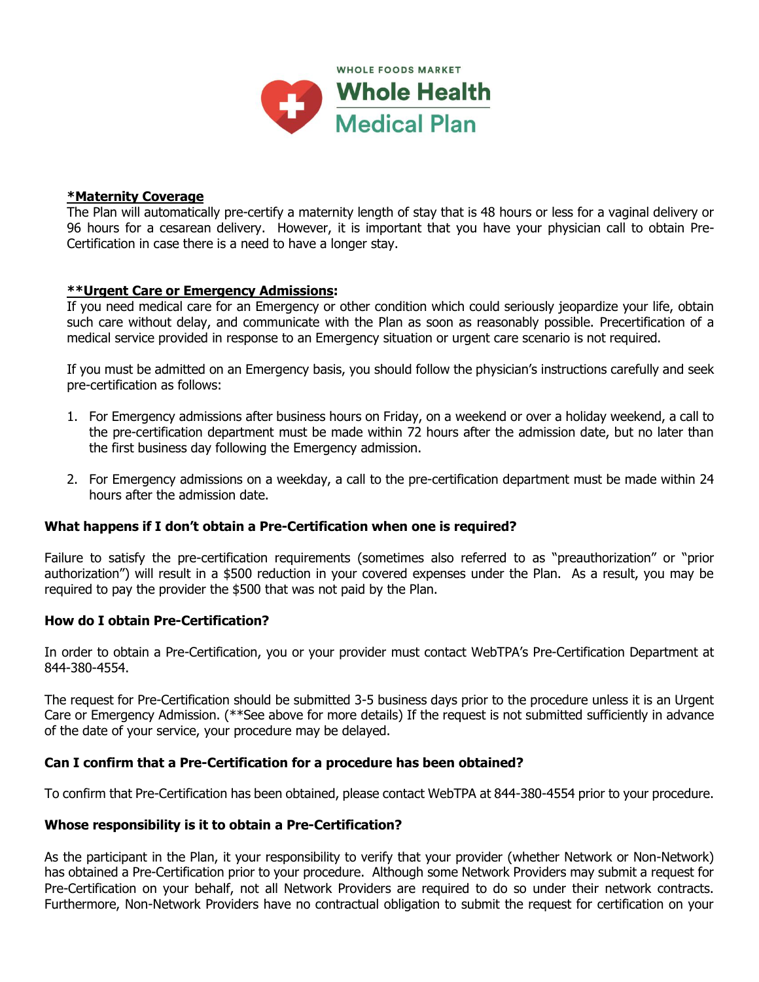

## **\*Maternity Coverage**

The Plan will automatically pre-certify a maternity length of stay that is 48 hours or less for a vaginal delivery or 96 hours for a cesarean delivery. However, it is important that you have your physician call to obtain Pre-Certification in case there is a need to have a longer stay.

## **\*\*Urgent Care or Emergency Admissions:**

If you need medical care for an Emergency or other condition which could seriously jeopardize your life, obtain such care without delay, and communicate with the Plan as soon as reasonably possible. Precertification of a medical service provided in response to an Emergency situation or urgent care scenario is not required.

If you must be admitted on an Emergency basis, you should follow the physician's instructions carefully and seek pre-certification as follows:

- 1. For Emergency admissions after business hours on Friday, on a weekend or over a holiday weekend, a call to the pre-certification department must be made within 72 hours after the admission date, but no later than the first business day following the Emergency admission.
- 2. For Emergency admissions on a weekday, a call to the pre-certification department must be made within 24 hours after the admission date.

#### **What happens if I don't obtain a Pre-Certification when one is required?**

Failure to satisfy the pre-certification requirements (sometimes also referred to as "preauthorization" or "prior authorization") will result in a \$500 reduction in your covered expenses under the Plan. As a result, you may be required to pay the provider the \$500 that was not paid by the Plan.

#### **How do I obtain Pre-Certification?**

In order to obtain a Pre-Certification, you or your provider must contact WebTPA's Pre-Certification Department at 844-380-4554.

The request for Pre-Certification should be submitted 3-5 business days prior to the procedure unless it is an Urgent Care or Emergency Admission. (\*\*See above for more details) If the request is not submitted sufficiently in advance of the date of your service, your procedure may be delayed.

#### **Can I confirm that a Pre-Certification for a procedure has been obtained?**

To confirm that Pre-Certification has been obtained, please contact WebTPA at 844-380-4554 prior to your procedure.

#### **Whose responsibility is it to obtain a Pre-Certification?**

As the participant in the Plan, it your responsibility to verify that your provider (whether Network or Non-Network) has obtained a Pre-Certification prior to your procedure. Although some Network Providers may submit a request for Pre-Certification on your behalf, not all Network Providers are required to do so under their network contracts. Furthermore, Non-Network Providers have no contractual obligation to submit the request for certification on your